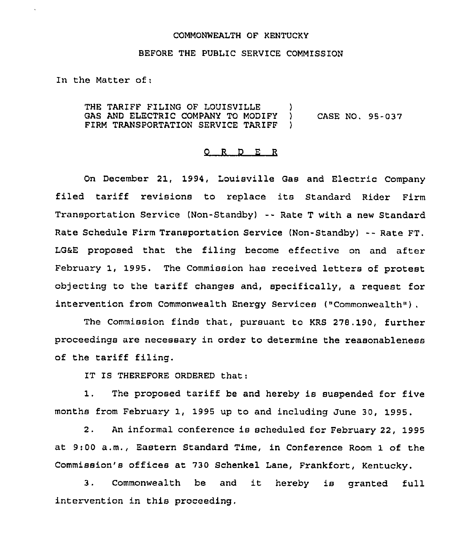## COMMONWEALTH OF KENTUCKY

## BEFORE THE PUBLIC SERVICE COMMZSSION

In the Matter of:

THE TARIFF FILING OF LOUISVILLE  $\qquad$ GAS AND ELECTRIC COMPANY TO MODIFY )<br>FIRM TRANSPORTATION SERVICE TARIFF ) FIRM TRANSPORTATION SERVICE TARIFF CASE NO. 95-037

## 0 <sup>R</sup> <sup>D</sup> E <sup>R</sup>

On December 21, 1994, Louisville Gas and Electric Company filed tariff revisions to replace its Standard Rider Firm Transportation Service (Non-Standby) -- Rate <sup>T</sup> with <sup>a</sup> new Standard Rate Schedule Firm Transportation Service (Non-Standby) -- Rate FT. LGaE proposed that the filing become effective on and after February 1, 1995. The Commission has received letters of protest ob)ecting to the tariff changes and, specifically, <sup>a</sup> request for intervention from Commonwealth Energy Services ("Commonwealth").

The Commission finds that, pursuant to KRS 278.190, further proceedings are necessary in order to determine the reasonableness of the tariff filing.

IT IS THEREFORE ORDERED that:

1. The proposed tariff be and hereby is suspended for five months from February 1, 1995 up to and including June 30, 1995.

2. An informal conference is scheduled for February 22, 1995 at 9;00 a.m., Eastern Standard Time, in Conference Room 1 of the Commission's offices at 730 Schenkel Lane, Frankfort, Kentucky.

3. Commonwealth be and it hereby is granted full intervention in this proceeding,